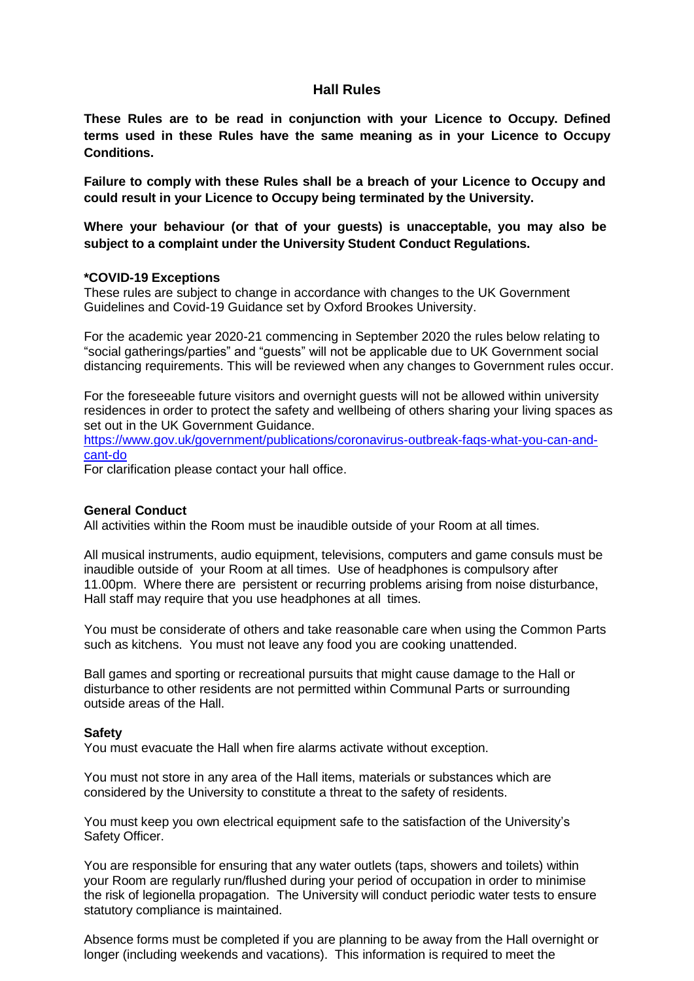# **Hall Rules**

**These Rules are to be read in conjunction with your Licence to Occupy. Defined terms used in these Rules have the same meaning as in your Licence to Occupy Conditions.**

**Failure to comply with these Rules shall be a breach of your Licence to Occupy and could result in your Licence to Occupy being terminated by the University.**

**Where your behaviour (or that of your guests) is unacceptable, you may also be subject to a complaint under the University Student Conduct Regulations.**

# **\*COVID-19 Exceptions**

These rules are subject to change in accordance with changes to the UK Government Guidelines and Covid-19 Guidance set by Oxford Brookes University.

For the academic year 2020-21 commencing in September 2020 the rules below relating to "social gatherings/parties" and "guests" will not be applicable due to UK Government social distancing requirements. This will be reviewed when any changes to Government rules occur.

For the foreseeable future visitors and overnight guests will not be allowed within university residences in order to protect the safety and wellbeing of others sharing your living spaces as set out in the UK Government Guidance.

[https://www.gov.uk/government/publications/coronavirus-outbreak-faqs-what-you-can-and](https://www.gov.uk/government/publications/coronavirus-outbreak-faqs-what-you-can-and-cant-do)[cant-do](https://www.gov.uk/government/publications/coronavirus-outbreak-faqs-what-you-can-and-cant-do)

For clarification please contact your hall office.

# **General Conduct**

All activities within the Room must be inaudible outside of your Room at all times.

All musical instruments, audio equipment, televisions, computers and game consuls must be inaudible outside of your Room at all times. Use of headphones is compulsory after 11.00pm. Where there are persistent or recurring problems arising from noise disturbance, Hall staff may require that you use headphones at all times.

You must be considerate of others and take reasonable care when using the Common Parts such as kitchens. You must not leave any food you are cooking unattended.

Ball games and sporting or recreational pursuits that might cause damage to the Hall or disturbance to other residents are not permitted within Communal Parts or surrounding outside areas of the Hall.

#### **Safety**

You must evacuate the Hall when fire alarms activate without exception.

You must not store in any area of the Hall items, materials or substances which are considered by the University to constitute a threat to the safety of residents.

You must keep you own electrical equipment safe to the satisfaction of the University's Safety Officer.

You are responsible for ensuring that any water outlets (taps, showers and toilets) within your Room are regularly run/flushed during your period of occupation in order to minimise the risk of legionella propagation. The University will conduct periodic water tests to ensure statutory compliance is maintained.

Absence forms must be completed if you are planning to be away from the Hall overnight or longer (including weekends and vacations). This information is required to meet the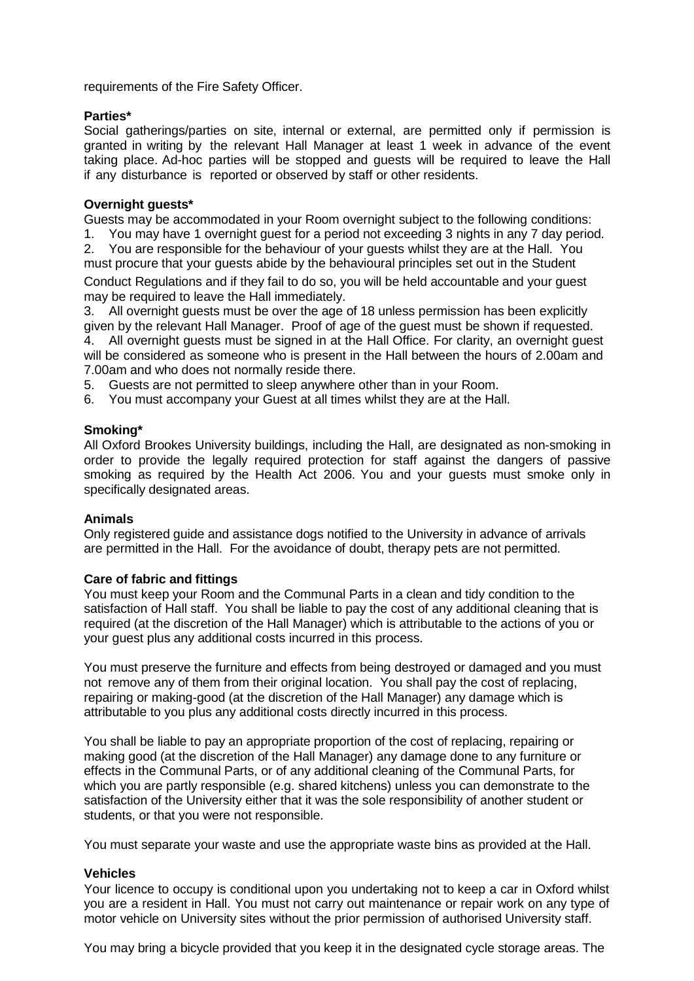requirements of the Fire Safety Officer.

# **Parties\***

Social gatherings/parties on site, internal or external, are permitted only if permission is granted in writing by the relevant Hall Manager at least 1 week in advance of the event taking place. Ad-hoc parties will be stopped and guests will be required to leave the Hall if any disturbance is reported or observed by staff or other residents.

# **Overnight guests\***

Guests may be accommodated in your Room overnight subject to the following conditions:

- 1. You may have 1 overnight guest for a period not exceeding 3 nights in any 7 day period.
- 2. You are responsible for the behaviour of your guests whilst they are at the Hall. You must procure that your guests abide by the behavioural principles set out in the Student

Conduct Regulations and if they fail to do so, you will be held accountable and your guest may be required to leave the Hall immediately.

3. All overnight guests must be over the age of 18 unless permission has been explicitly given by the relevant Hall Manager. Proof of age of the guest must be shown if requested.

4. All overnight guests must be signed in at the Hall Office. For clarity, an overnight guest will be considered as someone who is present in the Hall between the hours of 2.00am and 7.00am and who does not normally reside there.

5. Guests are not permitted to sleep anywhere other than in your Room.

6. You must accompany your Guest at all times whilst they are at the Hall.

# **Smoking\***

All Oxford Brookes University buildings, including the Hall, are designated as non-smoking in order to provide the legally required protection for staff against the dangers of passive smoking as required by the Health Act 2006. You and your guests must smoke only in specifically designated areas.

# **Animals**

Only registered guide and assistance dogs notified to the University in advance of arrivals are permitted in the Hall. For the avoidance of doubt, therapy pets are not permitted.

# **Care of fabric and fittings**

You must keep your Room and the Communal Parts in a clean and tidy condition to the satisfaction of Hall staff. You shall be liable to pay the cost of any additional cleaning that is required (at the discretion of the Hall Manager) which is attributable to the actions of you or your guest plus any additional costs incurred in this process.

You must preserve the furniture and effects from being destroyed or damaged and you must not remove any of them from their original location. You shall pay the cost of replacing, repairing or making-good (at the discretion of the Hall Manager) any damage which is attributable to you plus any additional costs directly incurred in this process.

You shall be liable to pay an appropriate proportion of the cost of replacing, repairing or making good (at the discretion of the Hall Manager) any damage done to any furniture or effects in the Communal Parts, or of any additional cleaning of the Communal Parts, for which you are partly responsible (e.g. shared kitchens) unless you can demonstrate to the satisfaction of the University either that it was the sole responsibility of another student or students, or that you were not responsible.

You must separate your waste and use the appropriate waste bins as provided at the Hall.

# **Vehicles**

Your licence to occupy is conditional upon you undertaking not to keep a car in Oxford whilst you are a resident in Hall. You must not carry out maintenance or repair work on any type of motor vehicle on University sites without the prior permission of authorised University staff.

You may bring a bicycle provided that you keep it in the designated cycle storage areas. The